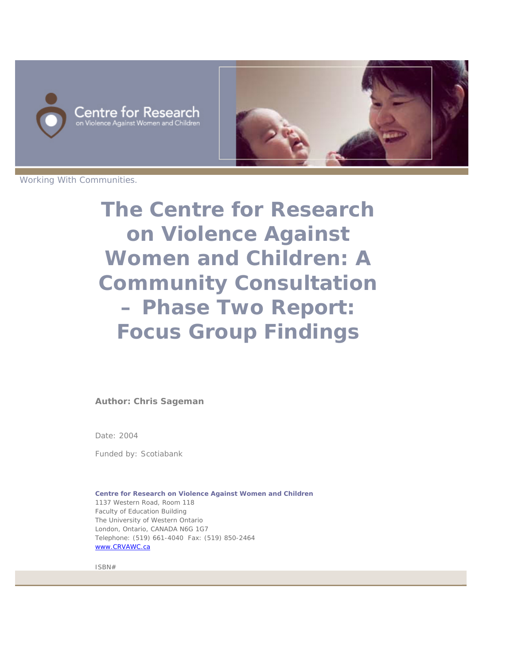



Working With Communities.

**The Centre for Research on Violence Against Women and Children: A Community Consultation – Phase Two Report: Focus Group Findings**

**Author: Chris Sageman**

Date: 2004

Funded by: Scotiabank

**Centre for Research on Violence Against Women and Children** 1137 Western Road, Room 118 Faculty of Education Building The University of Western Ontario London, Ontario, CANADA N6G 1G7 Telephone: (519) 661-4040 Fax: (519) 850-2464 www.CRVAWC.ca

ISBN#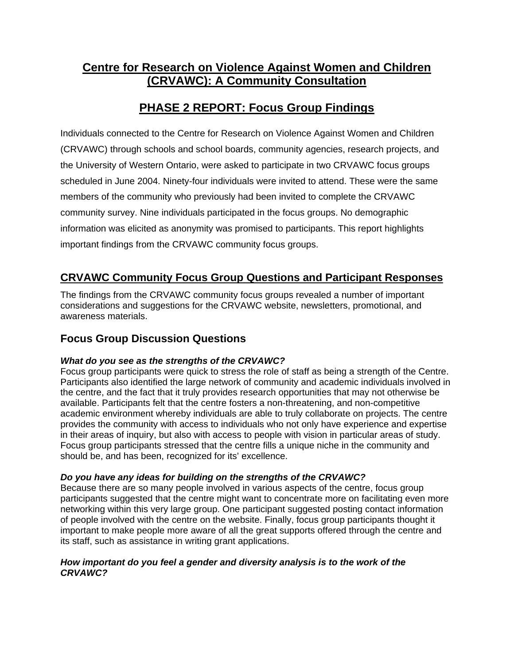# **Centre for Research on Violence Against Women and Children (CRVAWC): A Community Consultation**

# **PHASE 2 REPORT: Focus Group Findings**

Individuals connected to the Centre for Research on Violence Against Women and Children (CRVAWC) through schools and school boards, community agencies, research projects, and the University of Western Ontario, were asked to participate in two CRVAWC focus groups scheduled in June 2004. Ninety-four individuals were invited to attend. These were the same members of the community who previously had been invited to complete the CRVAWC community survey. Nine individuals participated in the focus groups. No demographic information was elicited as anonymity was promised to participants. This report highlights important findings from the CRVAWC community focus groups.

## **CRVAWC Community Focus Group Questions and Participant Responses**

The findings from the CRVAWC community focus groups revealed a number of important considerations and suggestions for the CRVAWC website, newsletters, promotional, and awareness materials.

### **Focus Group Discussion Questions**

### *What do you see as the strengths of the CRVAWC?*

Focus group participants were quick to stress the role of staff as being a strength of the Centre. Participants also identified the large network of community and academic individuals involved in the centre, and the fact that it truly provides research opportunities that may not otherwise be available. Participants felt that the centre fosters a non-threatening, and non-competitive academic environment whereby individuals are able to truly collaborate on projects. The centre provides the community with access to individuals who not only have experience and expertise in their areas of inquiry, but also with access to people with vision in particular areas of study. Focus group participants stressed that the centre fills a unique niche in the community and should be, and has been, recognized for its' excellence.

### *Do you have any ideas for building on the strengths of the CRVAWC?*

Because there are so many people involved in various aspects of the centre, focus group participants suggested that the centre might want to concentrate more on facilitating even more networking within this very large group. One participant suggested posting contact information of people involved with the centre on the website. Finally, focus group participants thought it important to make people more aware of all the great supports offered through the centre and its staff, such as assistance in writing grant applications.

#### *How important do you feel a gender and diversity analysis is to the work of the CRVAWC?*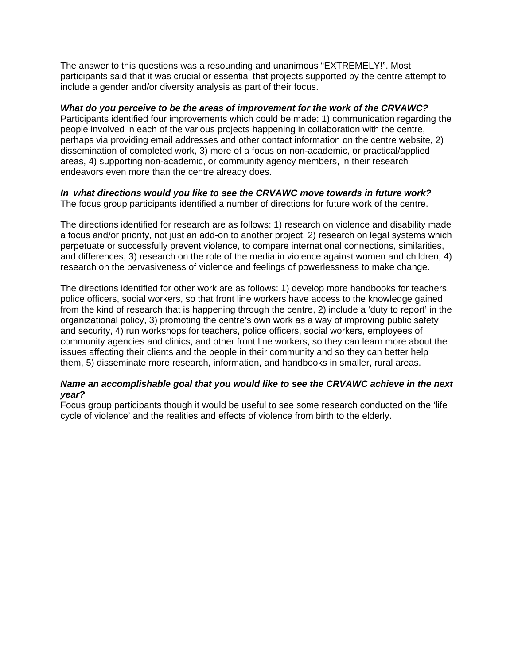The answer to this questions was a resounding and unanimous "EXTREMELY!". Most participants said that it was crucial or essential that projects supported by the centre attempt to include a gender and/or diversity analysis as part of their focus.

#### *What do you perceive to be the areas of improvement for the work of the CRVAWC?*

Participants identified four improvements which could be made: 1) communication regarding the people involved in each of the various projects happening in collaboration with the centre, perhaps via providing email addresses and other contact information on the centre website, 2) dissemination of completed work, 3) more of a focus on non-academic, or practical/applied areas, 4) supporting non-academic, or community agency members, in their research endeavors even more than the centre already does.

### *In what directions would you like to see the CRVAWC move towards in future work?*

The focus group participants identified a number of directions for future work of the centre.

The directions identified for research are as follows: 1) research on violence and disability made a focus and/or priority, not just an add-on to another project, 2) research on legal systems which perpetuate or successfully prevent violence, to compare international connections, similarities, and differences, 3) research on the role of the media in violence against women and children, 4) research on the pervasiveness of violence and feelings of powerlessness to make change.

The directions identified for other work are as follows: 1) develop more handbooks for teachers, police officers, social workers, so that front line workers have access to the knowledge gained from the kind of research that is happening through the centre, 2) include a 'duty to report' in the organizational policy, 3) promoting the centre's own work as a way of improving public safety and security, 4) run workshops for teachers, police officers, social workers, employees of community agencies and clinics, and other front line workers, so they can learn more about the issues affecting their clients and the people in their community and so they can better help them, 5) disseminate more research, information, and handbooks in smaller, rural areas.

### *Name an accomplishable goal that you would like to see the CRVAWC achieve in the next year?*

Focus group participants though it would be useful to see some research conducted on the 'life cycle of violence' and the realities and effects of violence from birth to the elderly.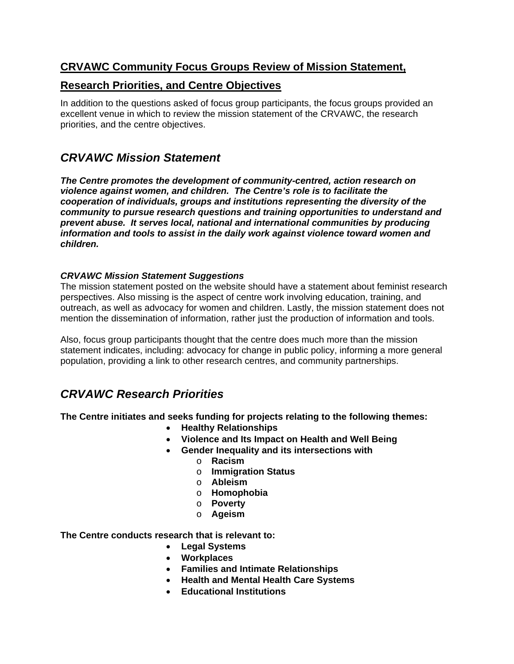### **CRVAWC Community Focus Groups Review of Mission Statement,**

### **Research Priorities, and Centre Objectives**

In addition to the questions asked of focus group participants, the focus groups provided an excellent venue in which to review the mission statement of the CRVAWC, the research priorities, and the centre objectives.

## *CRVAWC Mission Statement*

*The Centre promotes the development of community-centred, action research on violence against women, and children. The Centre's role is to facilitate the cooperation of individuals, groups and institutions representing the diversity of the community to pursue research questions and training opportunities to understand and prevent abuse. It serves local, national and international communities by producing information and tools to assist in the daily work against violence toward women and children.* 

### *CRVAWC Mission Statement Suggestions*

The mission statement posted on the website should have a statement about feminist research perspectives. Also missing is the aspect of centre work involving education, training, and outreach, as well as advocacy for women and children. Lastly, the mission statement does not mention the dissemination of information, rather just the production of information and tools.

Also, focus group participants thought that the centre does much more than the mission statement indicates, including: advocacy for change in public policy, informing a more general population, providing a link to other research centres, and community partnerships.

## *CRVAWC Research Priorities*

**The Centre initiates and seeks funding for projects relating to the following themes:** 

- **Healthy Relationships**
- **Violence and Its Impact on Health and Well Being**
- **Gender Inequality and its intersections with** 
	- o **Racism**
	- o **Immigration Status**
	- o **Ableism**
	- o **Homophobia**
	- o **Poverty**
	- o **Ageism**

**The Centre conducts research that is relevant to:** 

- **Legal Systems**
- **Workplaces**
- **Families and Intimate Relationships**
- **Health and Mental Health Care Systems**
- **Educational Institutions**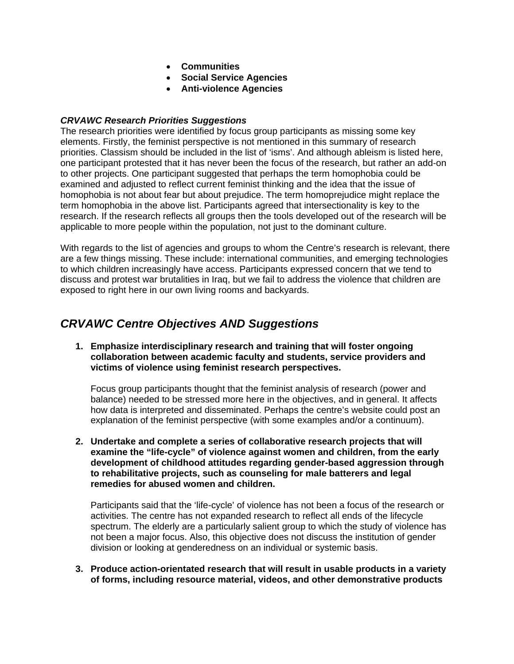- **Communities**
- **Social Service Agencies**
- **Anti-violence Agencies**

#### *CRVAWC Research Priorities Suggestions*

The research priorities were identified by focus group participants as missing some key elements. Firstly, the feminist perspective is not mentioned in this summary of research priorities. Classism should be included in the list of 'isms'. And although ableism is listed here, one participant protested that it has never been the focus of the research, but rather an add-on to other projects. One participant suggested that perhaps the term homophobia could be examined and adjusted to reflect current feminist thinking and the idea that the issue of homophobia is not about fear but about prejudice. The term homoprejudice might replace the term homophobia in the above list. Participants agreed that intersectionality is key to the research. If the research reflects all groups then the tools developed out of the research will be applicable to more people within the population, not just to the dominant culture.

With regards to the list of agencies and groups to whom the Centre's research is relevant, there are a few things missing. These include: international communities, and emerging technologies to which children increasingly have access. Participants expressed concern that we tend to discuss and protest war brutalities in Iraq, but we fail to address the violence that children are exposed to right here in our own living rooms and backyards.

## *CRVAWC Centre Objectives AND Suggestions*

**1. Emphasize interdisciplinary research and training that will foster ongoing collaboration between academic faculty and students, service providers and victims of violence using feminist research perspectives.** 

Focus group participants thought that the feminist analysis of research (power and balance) needed to be stressed more here in the objectives, and in general. It affects how data is interpreted and disseminated. Perhaps the centre's website could post an explanation of the feminist perspective (with some examples and/or a continuum).

**2. Undertake and complete a series of collaborative research projects that will examine the "life-cycle" of violence against women and children, from the early development of childhood attitudes regarding gender-based aggression through to rehabilitative projects, such as counseling for male batterers and legal remedies for abused women and children.** 

Participants said that the 'life-cycle' of violence has not been a focus of the research or activities. The centre has not expanded research to reflect all ends of the lifecycle spectrum. The elderly are a particularly salient group to which the study of violence has not been a major focus. Also, this objective does not discuss the institution of gender division or looking at genderedness on an individual or systemic basis.

**3. Produce action-orientated research that will result in usable products in a variety of forms, including resource material, videos, and other demonstrative products**